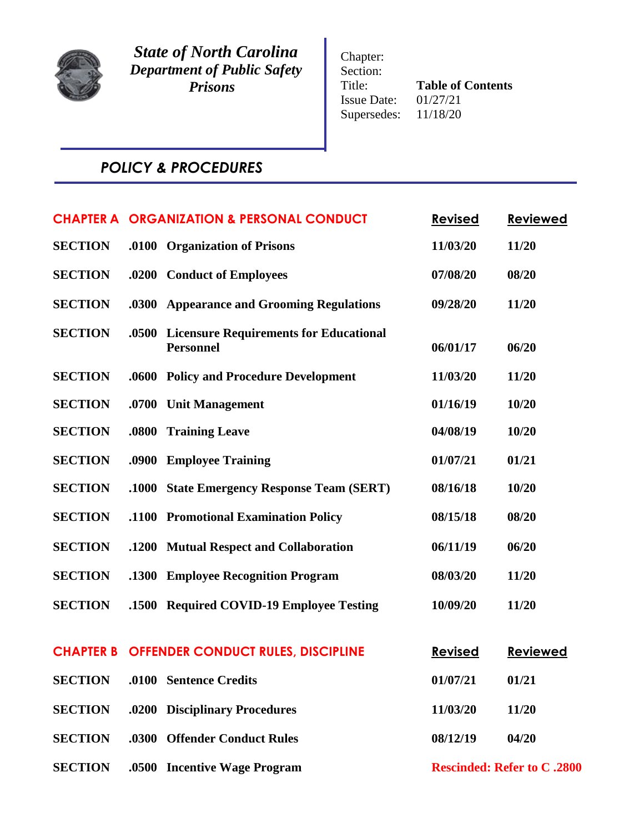

*State of North Carolina Department of Public Safety Prisons*

Chapter: Section: Title: **Table of Contents**<br>Issue Date:  $01/27/21$ Issue Date: Supersedes: 11/18/20

# *POLICY & PROCEDURES*

|                |       | <b>CHAPTER A ORGANIZATION &amp; PERSONAL CONDUCT</b>              | <b>Revised</b> | <b>Reviewed</b>                    |
|----------------|-------|-------------------------------------------------------------------|----------------|------------------------------------|
| <b>SECTION</b> |       | .0100 Organization of Prisons                                     | 11/03/20       | 11/20                              |
| <b>SECTION</b> |       | .0200 Conduct of Employees                                        | 07/08/20       | 08/20                              |
| <b>SECTION</b> |       | .0300 Appearance and Grooming Regulations                         | 09/28/20       | 11/20                              |
| <b>SECTION</b> | .0500 | <b>Licensure Requirements for Educational</b><br><b>Personnel</b> | 06/01/17       | 06/20                              |
| <b>SECTION</b> |       | .0600 Policy and Procedure Development                            | 11/03/20       | 11/20                              |
| <b>SECTION</b> | .0700 | <b>Unit Management</b>                                            | 01/16/19       | 10/20                              |
| <b>SECTION</b> | .0800 | <b>Training Leave</b>                                             | 04/08/19       | 10/20                              |
| <b>SECTION</b> |       | .0900 Employee Training                                           | 01/07/21       | 01/21                              |
| <b>SECTION</b> | .1000 | <b>State Emergency Response Team (SERT)</b>                       | 08/16/18       | 10/20                              |
| <b>SECTION</b> |       | .1100 Promotional Examination Policy                              | 08/15/18       | 08/20                              |
| <b>SECTION</b> |       | .1200 Mutual Respect and Collaboration                            | 06/11/19       | 06/20                              |
| <b>SECTION</b> |       | .1300 Employee Recognition Program                                | 08/03/20       | 11/20                              |
| <b>SECTION</b> |       | .1500 Required COVID-19 Employee Testing                          | 10/09/20       | 11/20                              |
|                |       |                                                                   |                |                                    |
|                |       | <b>CHAPTER B OFFENDER CONDUCT RULES, DISCIPLINE</b>               | <b>Revised</b> | <b>Reviewed</b>                    |
| <b>SECTION</b> |       | .0100 Sentence Credits                                            | 01/07/21       | 01/21                              |
| <b>SECTION</b> |       | .0200 Disciplinary Procedures                                     | 11/03/20       | 11/20                              |
| <b>SECTION</b> |       | .0300 Offender Conduct Rules                                      | 08/12/19       | 04/20                              |
| <b>SECTION</b> |       | .0500 Incentive Wage Program                                      |                | <b>Rescinded: Refer to C .2800</b> |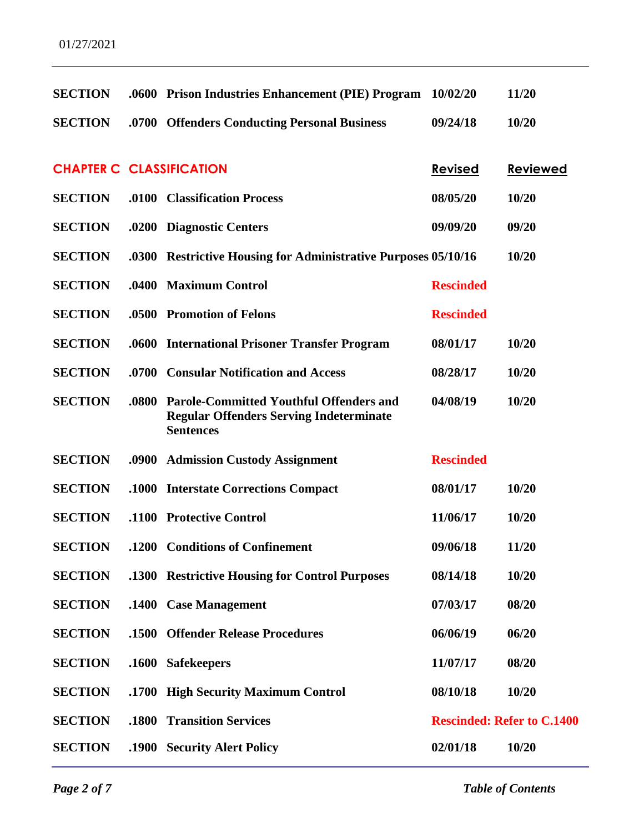| <b>SECTION</b>                  |       | .0600 Prison Industries Enhancement (PIE) Program                                                                    | 10/02/20         | 11/20                             |
|---------------------------------|-------|----------------------------------------------------------------------------------------------------------------------|------------------|-----------------------------------|
| <b>SECTION</b>                  |       | .0700 Offenders Conducting Personal Business                                                                         | 09/24/18         | 10/20                             |
|                                 |       |                                                                                                                      |                  |                                   |
| <b>CHAPTER C CLASSIFICATION</b> |       |                                                                                                                      | <b>Revised</b>   | <b>Reviewed</b>                   |
| <b>SECTION</b>                  |       | .0100 Classification Process                                                                                         | 08/05/20         | 10/20                             |
| <b>SECTION</b>                  |       | .0200 Diagnostic Centers                                                                                             | 09/09/20         | 09/20                             |
| <b>SECTION</b>                  |       | .0300 Restrictive Housing for Administrative Purposes 05/10/16                                                       |                  | 10/20                             |
| <b>SECTION</b>                  |       | .0400 Maximum Control                                                                                                | <b>Rescinded</b> |                                   |
| <b>SECTION</b>                  |       | .0500 Promotion of Felons                                                                                            | <b>Rescinded</b> |                                   |
| <b>SECTION</b>                  |       | .0600 International Prisoner Transfer Program                                                                        | 08/01/17         | 10/20                             |
| <b>SECTION</b>                  |       | .0700 Consular Notification and Access                                                                               | 08/28/17         | 10/20                             |
| <b>SECTION</b>                  | .0800 | <b>Parole-Committed Youthful Offenders and</b><br><b>Regular Offenders Serving Indeterminate</b><br><b>Sentences</b> | 04/08/19         | 10/20                             |
| <b>SECTION</b>                  |       | .0900 Admission Custody Assignment                                                                                   | <b>Rescinded</b> |                                   |
| <b>SECTION</b>                  |       | .1000 Interstate Corrections Compact                                                                                 | 08/01/17         | 10/20                             |
| <b>SECTION</b>                  |       | .1100 Protective Control                                                                                             | 11/06/17         | 10/20                             |
| <b>SECTION</b>                  |       | .1200 Conditions of Confinement                                                                                      | 09/06/18         | 11/20                             |
| <b>SECTION</b>                  |       | .1300 Restrictive Housing for Control Purposes                                                                       | 08/14/18         | 10/20                             |
| <b>SECTION</b>                  |       | .1400 Case Management                                                                                                | 07/03/17         | 08/20                             |
| <b>SECTION</b>                  |       | .1500 Offender Release Procedures                                                                                    | 06/06/19         | 06/20                             |
| <b>SECTION</b>                  |       | .1600 Safekeepers                                                                                                    | 11/07/17         | 08/20                             |
| <b>SECTION</b>                  |       | .1700 High Security Maximum Control                                                                                  | 08/10/18         | 10/20                             |
| <b>SECTION</b>                  | .1800 | <b>Transition Services</b>                                                                                           |                  | <b>Rescinded: Refer to C.1400</b> |
| <b>SECTION</b>                  |       | .1900 Security Alert Policy                                                                                          | 02/01/18         | 10/20                             |

*Page 2 of 7 Table of Contents*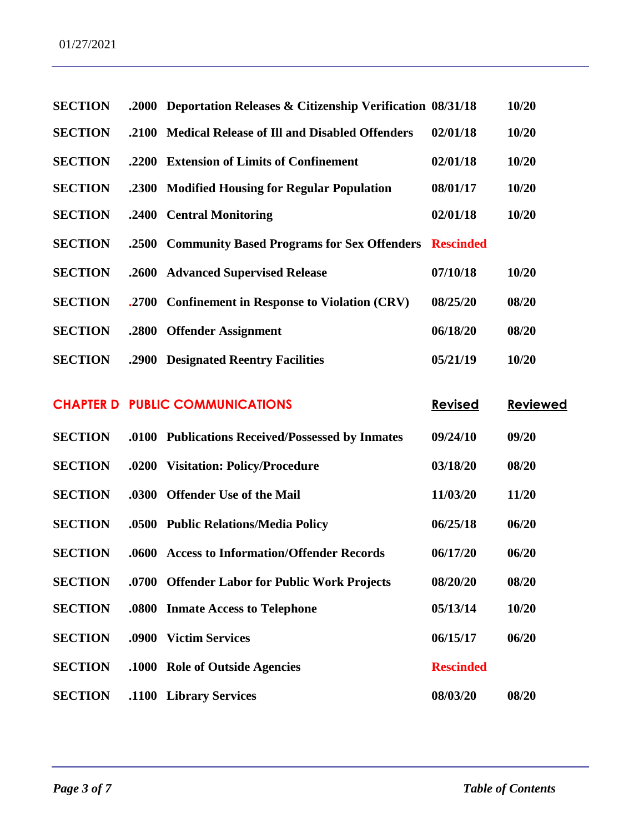| <b>SECTION</b> | .2000 | Deportation Releases & Citizenship Verification 08/31/18 |                  | 10/20           |
|----------------|-------|----------------------------------------------------------|------------------|-----------------|
| <b>SECTION</b> | .2100 | <b>Medical Release of Ill and Disabled Offenders</b>     | 02/01/18         | 10/20           |
| <b>SECTION</b> | .2200 | <b>Extension of Limits of Confinement</b>                | 02/01/18         | 10/20           |
| <b>SECTION</b> | .2300 | <b>Modified Housing for Regular Population</b>           | 08/01/17         | 10/20           |
| <b>SECTION</b> | .2400 | <b>Central Monitoring</b>                                | 02/01/18         | 10/20           |
| <b>SECTION</b> | .2500 | <b>Community Based Programs for Sex Offenders</b>        | <b>Rescinded</b> |                 |
| <b>SECTION</b> | .2600 | <b>Advanced Supervised Release</b>                       | 07/10/18         | 10/20           |
| <b>SECTION</b> | .2700 | <b>Confinement in Response to Violation (CRV)</b>        | 08/25/20         | 08/20           |
| <b>SECTION</b> | .2800 | <b>Offender Assignment</b>                               | 06/18/20         | 08/20           |
| <b>SECTION</b> | .2900 | <b>Designated Reentry Facilities</b>                     | 05/21/19         | 10/20           |
|                |       | <b>CHAPTER D PUBLIC COMMUNICATIONS</b>                   | <b>Revised</b>   | <b>Reviewed</b> |
|                |       |                                                          |                  |                 |
| <b>SECTION</b> |       | .0100 Publications Received/Possessed by Inmates         | 09/24/10         | 09/20           |
| <b>SECTION</b> | .0200 | <b>Visitation: Policy/Procedure</b>                      | 03/18/20         | 08/20           |
| <b>SECTION</b> | .0300 | <b>Offender Use of the Mail</b>                          | 11/03/20         | 11/20           |
| <b>SECTION</b> | .0500 | <b>Public Relations/Media Policy</b>                     | 06/25/18         | 06/20           |
| <b>SECTION</b> | .0600 | <b>Access to Information/Offender Records</b>            | 06/17/20         | 06/20           |
| <b>SECTION</b> |       | .0700 Offender Labor for Public Work Projects            | 08/20/20         | 08/20           |
| <b>SECTION</b> | .0800 | <b>Inmate Access to Telephone</b>                        | 05/13/14         | 10/20           |
| <b>SECTION</b> | .0900 | <b>Victim Services</b>                                   | 06/15/17         | 06/20           |
| <b>SECTION</b> |       | .1000 Role of Outside Agencies                           | <b>Rescinded</b> |                 |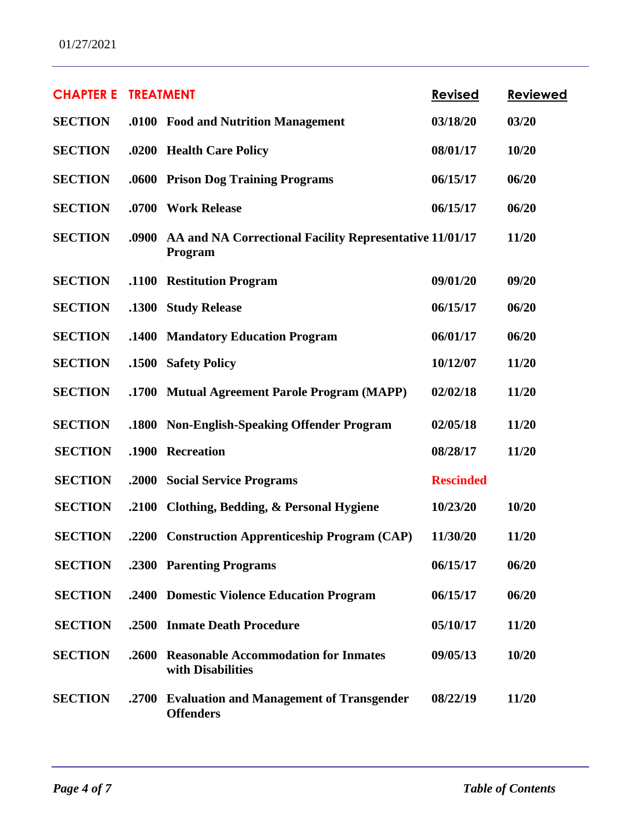| <b>CHAPTER E</b> | <b>TREATMENT</b> |                                                                     | <b>Revised</b>   | <b>Reviewed</b> |
|------------------|------------------|---------------------------------------------------------------------|------------------|-----------------|
| <b>SECTION</b>   |                  | .0100 Food and Nutrition Management                                 | 03/18/20         | 03/20           |
| <b>SECTION</b>   | .0200            | <b>Health Care Policy</b>                                           | 08/01/17         | 10/20           |
| <b>SECTION</b>   | .0600            | <b>Prison Dog Training Programs</b>                                 | 06/15/17         | 06/20           |
| <b>SECTION</b>   |                  | .0700 Work Release                                                  | 06/15/17         | 06/20           |
| <b>SECTION</b>   | .0900            | AA and NA Correctional Facility Representative 11/01/17<br>Program  |                  | 11/20           |
| <b>SECTION</b>   | .1100            | <b>Restitution Program</b>                                          | 09/01/20         | 09/20           |
| <b>SECTION</b>   | .1300            | <b>Study Release</b>                                                | 06/15/17         | 06/20           |
| <b>SECTION</b>   | .1400            | <b>Mandatory Education Program</b>                                  | 06/01/17         | 06/20           |
| <b>SECTION</b>   | .1500            | <b>Safety Policy</b>                                                | 10/12/07         | 11/20           |
| <b>SECTION</b>   | .1700            | <b>Mutual Agreement Parole Program (MAPP)</b>                       | 02/02/18         | 11/20           |
| <b>SECTION</b>   | .1800            | <b>Non-English-Speaking Offender Program</b>                        | 02/05/18         | 11/20           |
| <b>SECTION</b>   | .1900            | <b>Recreation</b>                                                   | 08/28/17         | 11/20           |
| <b>SECTION</b>   | .2000            | <b>Social Service Programs</b>                                      | <b>Rescinded</b> |                 |
| <b>SECTION</b>   | .2100            | Clothing, Bedding, & Personal Hygiene                               | 10/23/20         | 10/20           |
| <b>SECTION</b>   | .2200            | <b>Construction Apprenticeship Program (CAP)</b>                    | 11/30/20         | 11/20           |
| <b>SECTION</b>   |                  | .2300 Parenting Programs                                            | 06/15/17         | 06/20           |
| <b>SECTION</b>   |                  | .2400 Domestic Violence Education Program                           | 06/15/17         | 06/20           |
| <b>SECTION</b>   | .2500            | <b>Inmate Death Procedure</b>                                       | 05/10/17         | 11/20           |
| <b>SECTION</b>   | .2600            | <b>Reasonable Accommodation for Inmates</b><br>with Disabilities    | 09/05/13         | 10/20           |
| <b>SECTION</b>   | .2700            | <b>Evaluation and Management of Transgender</b><br><b>Offenders</b> | 08/22/19         | 11/20           |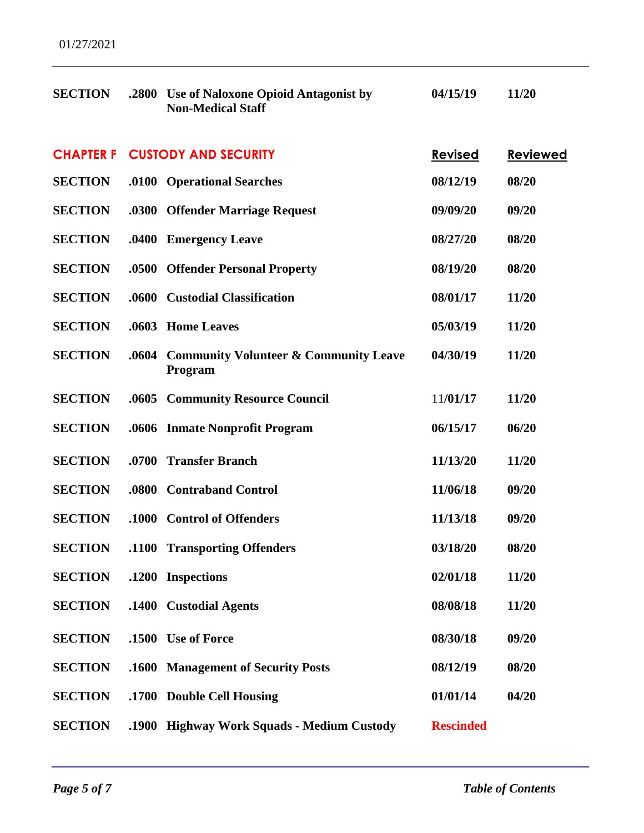| <b>SECTION</b>   | .2800        | Use of Naloxone Opioid Antagonist by<br><b>Non-Medical Staff</b> | 04/15/19         | 11/20    |
|------------------|--------------|------------------------------------------------------------------|------------------|----------|
| <b>CHAPTER F</b> |              | <b>CUSTODY AND SECURITY</b>                                      | <b>Revised</b>   | Reviewed |
| <b>SECTION</b>   |              | .0100 Operational Searches                                       | 08/12/19         | 08/20    |
| <b>SECTION</b>   |              | .0300 Offender Marriage Request                                  | 09/09/20         | 09/20    |
| <b>SECTION</b>   | .0400        | <b>Emergency Leave</b>                                           | 08/27/20         | 08/20    |
| <b>SECTION</b>   | .0500        | <b>Offender Personal Property</b>                                | 08/19/20         | 08/20    |
| <b>SECTION</b>   |              | .0600 Custodial Classification                                   | 08/01/17         | 11/20    |
| <b>SECTION</b>   | .0603        | <b>Home Leaves</b>                                               | 05/03/19         | 11/20    |
| <b>SECTION</b>   | .0604        | <b>Community Volunteer &amp; Community Leave</b><br>Program      | 04/30/19         | 11/20    |
| <b>SECTION</b>   |              | .0605 Community Resource Council                                 | 11/01/17         | 11/20    |
| <b>SECTION</b>   |              | .0606 Inmate Nonprofit Program                                   | 06/15/17         | 06/20    |
| <b>SECTION</b>   | .0700        | <b>Transfer Branch</b>                                           | 11/13/20         | 11/20    |
| <b>SECTION</b>   | .0800        | <b>Contraband Control</b>                                        | 11/06/18         | 09/20    |
| <b>SECTION</b>   |              | .1000 Control of Offenders                                       | 11/13/18         | 09/20    |
| <b>SECTION</b>   | <b>.1100</b> | <b>Transporting Offenders</b>                                    | 03/18/20         | 08/20    |
| <b>SECTION</b>   |              | .1200 Inspections                                                | 02/01/18         | 11/20    |
| <b>SECTION</b>   | .1400        | <b>Custodial Agents</b>                                          | 08/08/18         | 11/20    |
| <b>SECTION</b>   | .1500        | <b>Use of Force</b>                                              | 08/30/18         | 09/20    |
| <b>SECTION</b>   | .1600        | <b>Management of Security Posts</b>                              | 08/12/19         | 08/20    |
| <b>SECTION</b>   | .1700        | <b>Double Cell Housing</b>                                       | 01/01/14         | 04/20    |
| <b>SECTION</b>   | .1900        | <b>Highway Work Squads - Medium Custody</b>                      | <b>Rescinded</b> |          |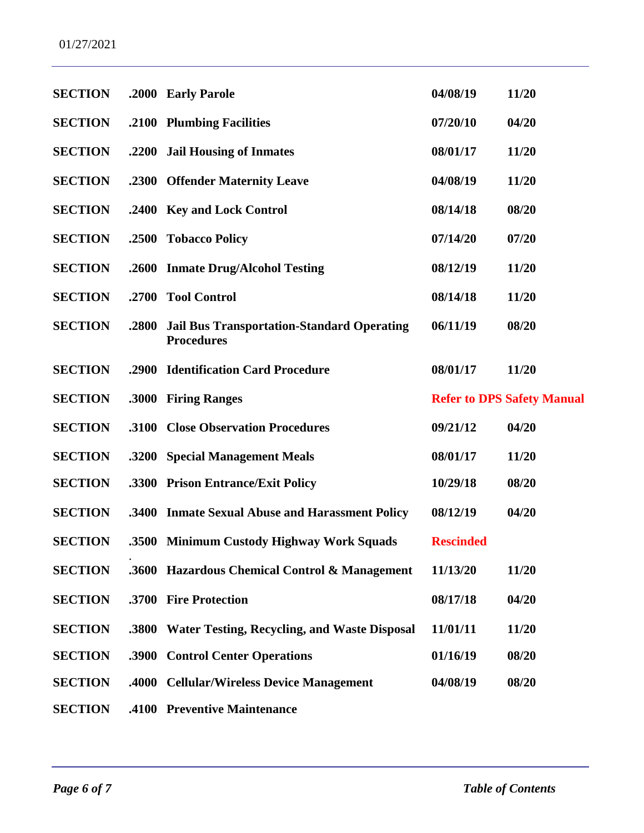| <b>SECTION</b> |       | .2000 Early Parole                                                     | 04/08/19         | 11/20                             |
|----------------|-------|------------------------------------------------------------------------|------------------|-----------------------------------|
| <b>SECTION</b> |       | .2100 Plumbing Facilities                                              | 07/20/10         | 04/20                             |
| <b>SECTION</b> |       | .2200 Jail Housing of Inmates                                          | 08/01/17         | 11/20                             |
| <b>SECTION</b> |       | .2300 Offender Maternity Leave                                         | 04/08/19         | 11/20                             |
| <b>SECTION</b> |       | .2400 Key and Lock Control                                             | 08/14/18         | 08/20                             |
| <b>SECTION</b> | .2500 | <b>Tobacco Policy</b>                                                  | 07/14/20         | 07/20                             |
| <b>SECTION</b> | .2600 | <b>Inmate Drug/Alcohol Testing</b>                                     | 08/12/19         | 11/20                             |
| <b>SECTION</b> | .2700 | <b>Tool Control</b>                                                    | 08/14/18         | 11/20                             |
| <b>SECTION</b> | .2800 | <b>Jail Bus Transportation-Standard Operating</b><br><b>Procedures</b> | 06/11/19         | 08/20                             |
| <b>SECTION</b> | .2900 | <b>Identification Card Procedure</b>                                   | 08/01/17         | 11/20                             |
| <b>SECTION</b> | .3000 | <b>Firing Ranges</b>                                                   |                  | <b>Refer to DPS Safety Manual</b> |
| <b>SECTION</b> | .3100 | <b>Close Observation Procedures</b>                                    | 09/21/12         | 04/20                             |
| <b>SECTION</b> |       | .3200 Special Management Meals                                         | 08/01/17         | 11/20                             |
| <b>SECTION</b> | .3300 | <b>Prison Entrance/Exit Policy</b>                                     | 10/29/18         | 08/20                             |
| <b>SECTION</b> |       | .3400 Inmate Sexual Abuse and Harassment Policy                        | 08/12/19         | 04/20                             |
| <b>SECTION</b> |       | .3500 Minimum Custody Highway Work Squads                              | <b>Rescinded</b> |                                   |
| <b>SECTION</b> |       | .3600 Hazardous Chemical Control & Management                          | 11/13/20         | 11/20                             |
| <b>SECTION</b> |       | .3700 Fire Protection                                                  | 08/17/18         | 04/20                             |
| <b>SECTION</b> | .3800 | <b>Water Testing, Recycling, and Waste Disposal</b>                    | 11/01/11         | 11/20                             |
| <b>SECTION</b> | .3900 | <b>Control Center Operations</b>                                       | 01/16/19         | 08/20                             |
| <b>SECTION</b> | .4000 | <b>Cellular/Wireless Device Management</b>                             | 04/08/19         | 08/20                             |
| <b>SECTION</b> |       | .4100 Preventive Maintenance                                           |                  |                                   |